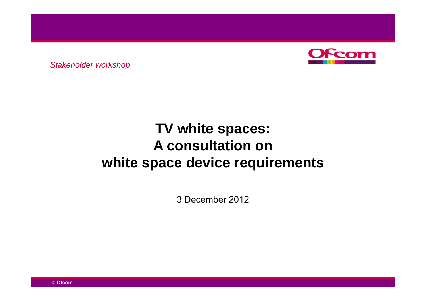

*Stakeholder workshop*

# **TV white spaces: A consultation on on white space device requirements**

3 December 2012

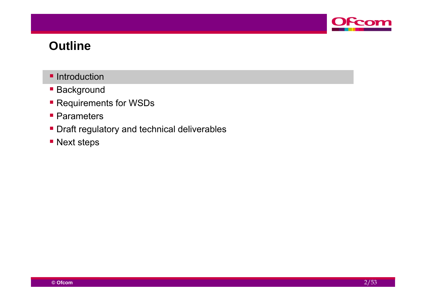

#### **Outline**

- **Introduction**
- **Background**
- **Requirements for WSDs**
- **Parameters**
- **Draft regulatory and technical deliverables**
- **Next steps**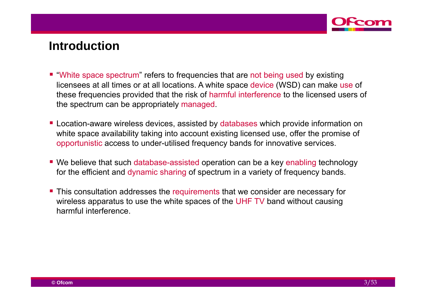

#### **Introduction**

- "White space spectrum" refers to frequencies that are not being used by existing licensees at all times or at all locations. A white space device (WSD) can make use of these frequencies provided that the risk of harmful interference to the licensed users of the spectrum can be appropriately managed.
- **EXEC** Location-aware wireless devices, assisted by databases which provide information on white space availability taking into account existing licensed use, offer the promise of opportunistic access to under-utilised frequency bands for innovative services.
- We believe that such database-assisted operation can be a key enabling technology for the efficient and dynamic sharing of spectrum in a variety of frequency bands.
- **This consultation addresses the requirements that we consider are necessary for** wireless apparatus to use the white spaces of the UHF TV band without causing harmful interference.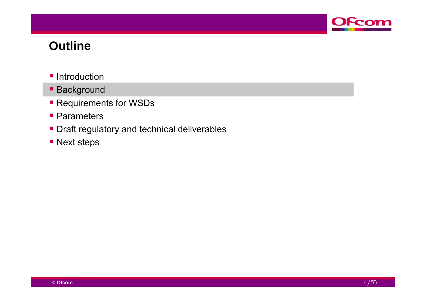

#### **Outline**

- **Introduction**
- **Background**
- **Requirements for WSDs**
- **Parameters**
- **Draft regulatory and technical deliverables**
- **Next steps**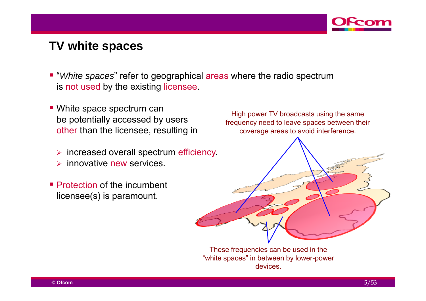

## **TV white spaces**

- "*White spaces*" refer to geographical areas where the radio spectrum is not used by the existing licensee.
- White space spectrum can be potentially accessed by users<br>TV broadcasts using the same<br>frequency need to leave spaces between the other than the licensee, resulting in
	- $\triangleright$  increased overall spectrum efficiency.
	- $\blacktriangleright$ innovative new services.
- **Protection of the incumbent** licensee(s) is paramount.

High power TV broadcasts using the same frequency need to leave spaces between their coverage areas to avoid interference.



These frequencies can be used in the "white spaces" in between by lower-power devices.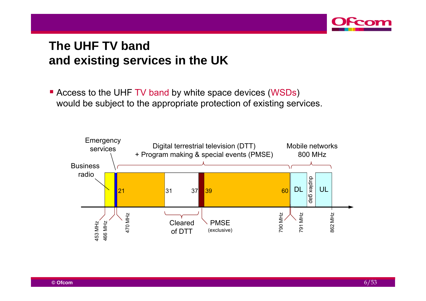

# **The UHF TV band TV and existing services in the UK**

**Example 3 Feraudio Figure 1** Access to the UHF TV band by white space devices (WSDs) would be subject to the appropriate protection of existing services.

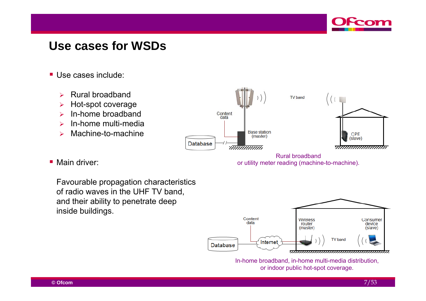

## **Use cases for WSDs**

- Use cases include:
	- $\blacktriangleright$ Rural broadband
	- $\blacktriangleright$ Hot-spot coverage
	- $\blacktriangleright$ In-home broadband
	- $\blacktriangleright$ In-home multi-media
	- $\blacktriangleright$ Machine-to-machine



Rural broadbandor utility meter reading (machine-to-machine).

■ Main driver:

Favourable propagation characteristics<br>of radio waves in the UHF TV band, and their ability to penetrate deep inside buildings.



In-home broadband, in-home multi-media distribution, or indoor public hot-spot coverage.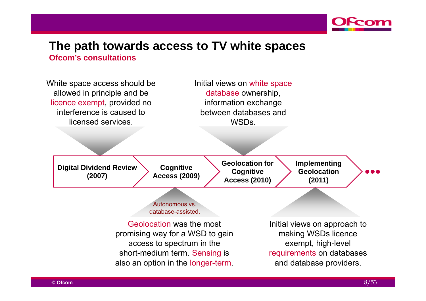

# **The path towards access to TV white spaces**

**Ofcom's consultations**

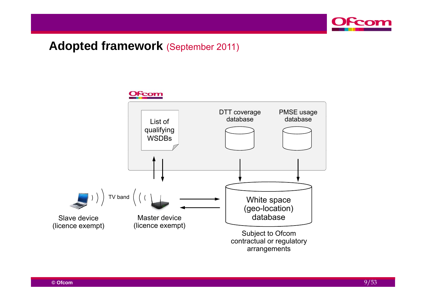



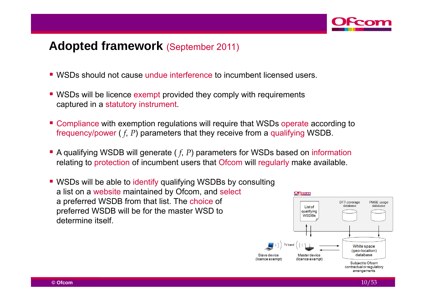

- WSDs should not cause undue interference to incumbent licensed users.
- **WSDs will be licence exempt provided they comply with requirements** captured in a statutory instrument.
- **Compliance with exemption regulations will require that WSDs operate according to** frequency/power ( *f*, *P*) parameters that they receive from a qualifying WSDB.
- A qualifying WSDB will generate ( f, P) parameters for WSDs based on information relating to protection of incumbent users that Ofcom will regularly make available.
- **WSDs will be able to identify qualifying WSDBs by consulting** a list on a website maintained by Ofcom, and select a preferred WSDB from that list. The choice of preferred WSDB will be for the master WSD to determine itself.

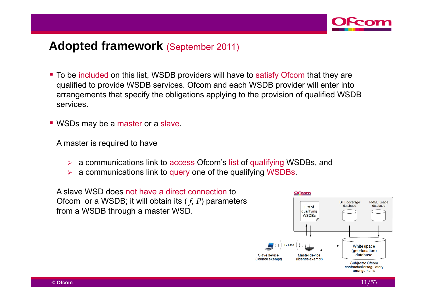

- To be included on this list, WSDB providers will have to satisfy Ofcom that they are qualified to provide WSDB services. Ofcom and each WSDB provider will enter into arrangements that specify the obligations applying to the provision of qualified WSDB services.
- **WSDs may be a master or a slave.**

A master is required to have

- $\blacktriangleright$ a communications link to access Ofcom's list of qualifying WSDBs, and
- $\blacktriangleright$ a communications link to query one of the qualifying WSDBs.

A slave WSD does not have a direct connection to Ofcom or a WSDB; it will obtain its ( *f*, *P*) parameters from a WSDB through a master WSD.

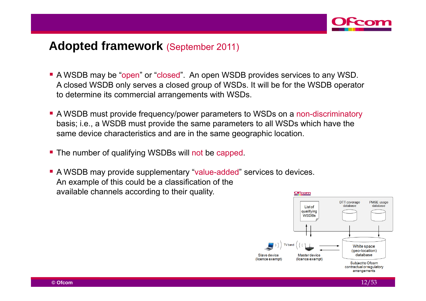

- A WSDB may be "open" or "closed". An open WSDB provides services to any WSD. A closed WSDB only serves a closed group of WSDs. It will be for the WSDB operator to determine its commercial arrangements with WSDs.
- A WSDB must provide frequency/power parameters to WSDs on a non-discriminatory basis; i.e., a WSDB must provide the same parameters to all WSDs which have the same device characteristics and are in the same geographic location.
- The number of qualifying WSDBs will not be capped.
- A WSDB may provide supplementary "value-added" services to devices. An example of this could be <sup>a</sup> classification of the available channels according to their quality. **OFcom**

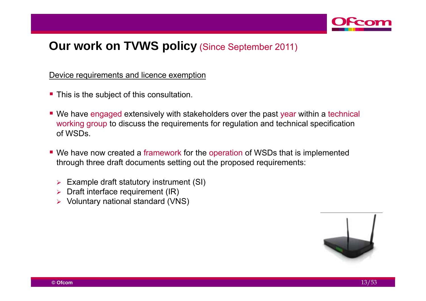

#### Device requirements and licence exemption

- **This is the subject of this consultation.**
- We have engaged extensively with stakeholders over the past year within a technical working group to discuss the requirements for regulation and technical specification of WSDs.
- We have now created a framework for the operation of WSDs that is implemented through three draft documents setting out the proposed requirements:
	- $\triangleright$  Example draft statutory instrument (SI)
	- $\blacktriangleright$ Draft interface requirement (IR)
	- Voluntary national standard (VNS)

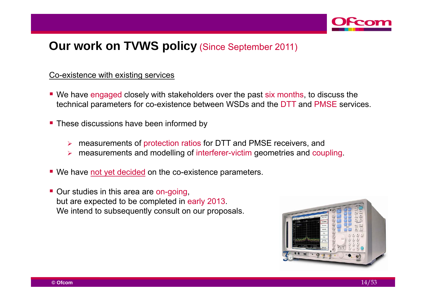

#### Co-existence with existing services

- We have engaged closely with stakeholders over the past six months, to discuss the technical parameters for co-existence between WSDs and the DTT and PMSE services.
- **These discussions have been informed by** 
	- $\blacktriangleright$ measurements of protection ratios for DTT and PMSE receivers, and
	- $\blacktriangleright$  $\triangleright$  measurements and modelling of interferer-victim geometries and coupling.
- We have not yet decided on the co-existence parameters.
- **Our studies in this area are on-going,** but are expected to be completed in early 2013. We intend to subsequently consult on our proposals.

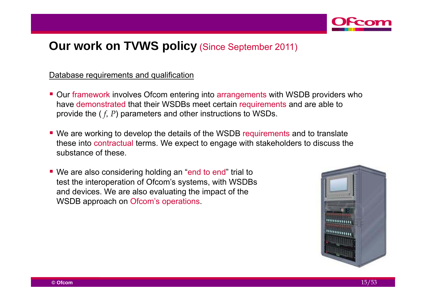

#### Database requirements and qualification

- **Dur framework involves Ofcom entering into arrangements with WSDB providers who** have demonstrated that their WSDBs meet certain requirements and are able to provide the  $(f, P)$  parameters and other instructions to WSDs.
- We are working to develop the details of the WSDB requirements and to translate these into contractual terms. We expect to engage with stakeholders to discuss the substance of these.
- We are also considering holding an "end to end" trial to test the interoperation of Ofcom's systems, with WSDBs and devices. We are also evaluating the impact of the WSDB approach on Ofcom's operations.

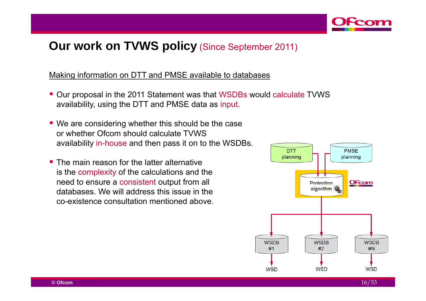

Making information on DTT and PMSE available to databases

- Our proposal in the 2011 Statement was that WSDBs would calculate TVWS availability, using the DTT and PMSE data as input.
- We are considering whether this should be the case or whether Ofcom should calculate TVWS availability in-house and then pass it on to the WSDBs.
- **The main reason for the latter alternative** is the complexity of the calculations and the need to ensure a consistent output from all databases. We will address this issue in the co-existence consultation mentioned above.

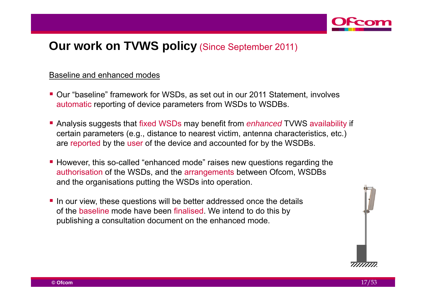

#### Baseline and enhanced modes

- Our "baseline" framework for WSDs, as set out in our 2011 Statement, involves automatic reporting of device parameters from WSDs to WSDBs.
- Analysis suggests that fixed WSDs may benefit from *enhanced* TVWS availability if certain parameters (e.g., distance to nearest victim, antenna characteristics, etc.) are reported by the user of the device and accounted for by the WSDBs.
- **However, this so-called "enhanced mode" raises new questions regarding the** authorisation of the WSDs, and the arrangements between Ofcom, WSDBs and the organisations putting the WSDs into operation.
- If a ln our view, these questions will be better addressed once the details of the baseline mode have been finalised. We intend to do this by publishing a consultation document on the enhanced mode.

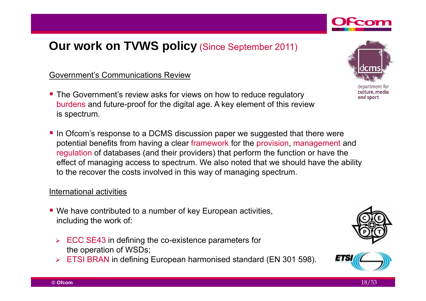#### Government's Communications Review

- **The Government's review asks for views on how to reduce regulatory** burdens and future-proof for the digital age. A key element of this review is spectrum.
- In Ofcom's response to a DCMS discussion paper we suggested that there were potential benefits from having a clear framework for the provision, management and regulation of databases (and their providers) that perform the function or have the effect of managing access to spectrum. We also noted that we should have the ability to the recover the costs involved in this way of managing spectrum.

#### International activities

- We have contributed to a number of key European activities, including the work of:
	- $\triangleright$  ECC SE43 in defining the co-existence parameters for the operation of WSDs;
	- **ETSI BRAN in defining European harmonised standard (EN 301 598).**



department for culture, media and sport



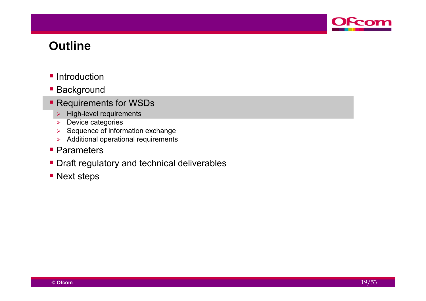

#### **Outline**

- **Introduction**
- **Background**
- **Requirements for WSDs** 
	- $\triangleright$  High-level requirements
	- $\blacktriangleright$ Device categories
	- $\blacktriangleright$ Sequence of information exchange
	- $\triangleright$  Additional operational requirements
- **Parameters**
- **Draft regulatory and technical deliverables**
- **Next steps**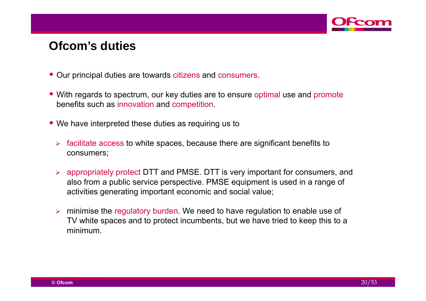

#### **Ofcom s' duties**

- Our principal duties are towards citizens and consumers.
- With regards to spectrum, our key duties are to ensure optimal use and promote benefits such as innovation and competition.
- We have interpreted these duties as requiring us to
	- $\triangleright$  facilitate access to white spaces, because there are significant benefits to consumers;
	- appropriately protect DTT and PMSE. DTT is very important for consumers, and also from <sup>a</sup> public service perspective. PMSE equipment is used in <sup>a</sup> range of activities generating important economic and social value;
	- $\triangleright$  minimise the regulatory burden. We need to have regulation to enable use of TV white spaces and to protect incumbents, but we have tried to keep this to a minimum.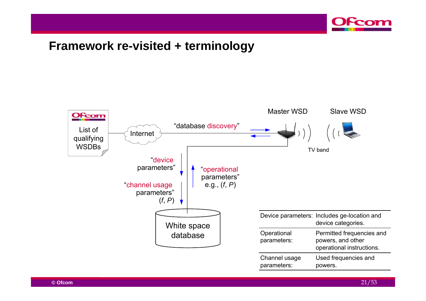

#### **Framework re re-visited <sup>+</sup> terminology visited**

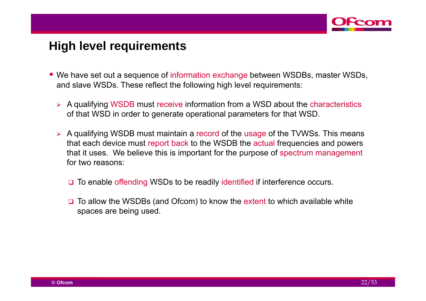

#### **High level requirements**

- We have set out a sequence of information exchange between WSDBs, master WSDs, and slave WSDs. These reflect the following high level requirements:
	- ▶ A qualifying WSDB must receive information from a WSD about the characteristics of that WSD in order to generate operational parameters for that WSD.
	- $\triangleright$  A qualifying WSDB must maintain a record of the usage of the TVWSs. This means that each device must report back to the WSDB the actual frequencies and powers that it uses. We believe this is important for the purpose of spectrum management for two reasons:
		- □ To enable offending WSDs to be readily identified if interference occurs.
		- **□** To allow the WSDBs (and Ofcom) to know the extent to which available white spaces are being used.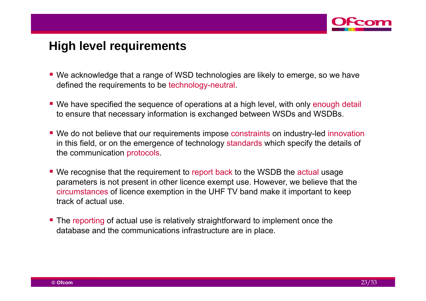

## **High level requirements**

- We acknowledge that a range of WSD technologies are likely to emerge, so we have defined the requirements to be technology-neutral.
- We have specified the sequence of operations at a high level, with only enough detail to ensure that necessary information is exchanged between WSDs and WSDBs.
- We do not believe that our requirements impose constraints on industry-led innovation in this field, or on the emergence of technology standards which specify the details of the communication protocols.
- We recognise that the requirement to report back to the WSDB the actual usage parameters is not present in other licence exempt use. However, we believe that the circumstances of licence exemption in the UHF TV band make it important to keep track of actual use.
- The reporting of actual use is relatively straightforward to implement once the database and the communications infrastructure are in place.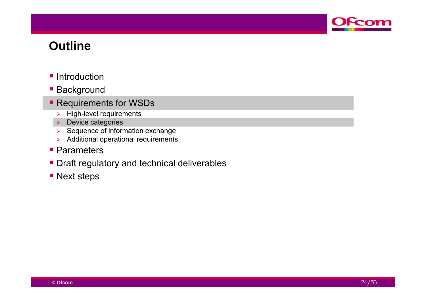

#### **Outline**

- **Introduction**
- **Background**
- **Requirements for WSDs** 
	- $\blacktriangleright$ High-level requirements
	- **Device categories**
	- $\triangleright$  Sequence of information exchange
	- $\triangleright$  Additional operational requirements
- **Parameters**
- **Draft regulatory and technical deliverables**
- **Next steps**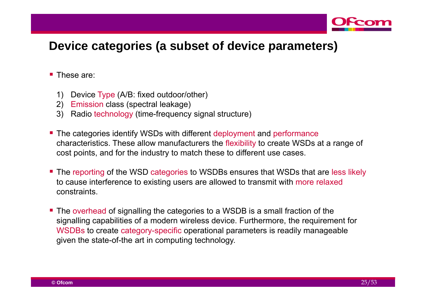

## **Device categories (a subset of device parameters) subset**

- **These are:** 
	- 1) Device Type (A/B: fixed outdoor/other)
	- 2) Emission class (spectral leakage)
	- 3) Radio technology (time-frequency signal structure)
- **The categories identify WSDs with different deployment and performance** characteristics. These allow manufacturers the flexibility to create WSDs at a range of cost points, and for the industry to match these to different use cases.
- **The reporting of the WSD categories to WSDBs ensures that WSDs that are less likely** to cause interference to existing users are allowed to transmit with more relaxed constraints.
- The overhead of signalling the categories to a WSDB is a small fraction of the signalling capabilities of a modern wireless device. Furthermore, the requirement for WSDBs to create category-specific operational parameters is readily manageable given the state-of-the art in computing technology.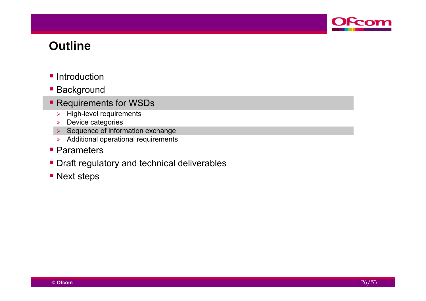

#### **Outline**

- **Introduction**
- **Background**
- **Requirements for WSDs** 
	- $\blacktriangleright$ High-level requirements
	- $\blacktriangleright$ Device categories
	- $\triangleright$  Sequence of information exchange
	- $\triangleright$  Additional operational requirements
- **Parameters**
- **Draft regulatory and technical deliverables**
- **Next steps**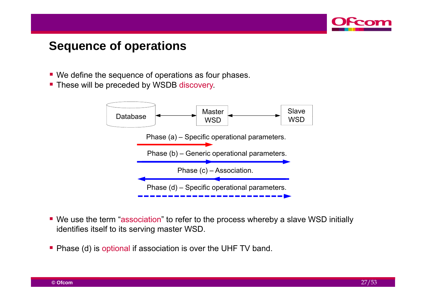

## **Sequence of operations**

- We define the sequence of operations as four phases.
- These will be preceded by WSDB discovery.



- We use the term "association" to refer to the process whereby a slave WSD initially identifies itself to its serving master WSD.
- Phase (d) is optional if association is over the UHF TV band.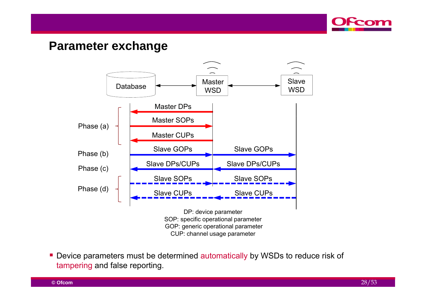

#### **Parameter exchange**



■ Device parameters must be determined automatically by WSDs to reduce risk of tampering and false reporting.

**© Ofcom**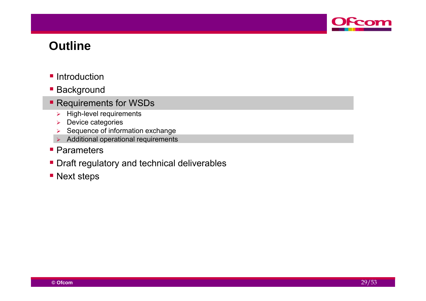

#### **Outline**

- **Introduction**
- **Background**
- **Requirements for WSDs** 
	- $\blacktriangleright$ High-level requirements
	- $\blacktriangleright$ Device categories
	- $\blacktriangleright$ Sequence of information exchange
	- $\triangleright$  Additional operational requirements
- **Parameters**
- **Draft regulatory and technical deliverables**
- **Next steps**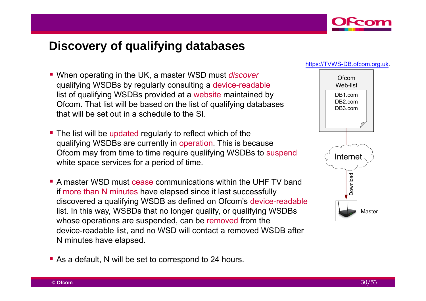

## **Discovery of qualifying databases**

- When operating in the UK, a master WSD must *discover* qualifying WSDBs by regularly consulting a device-readable list of qualifying WSDBs provided at a website maintained by Ofcom. That list will be based on the list of qualifying databases that will be set out in a schedule to the SI. \_ \_ \_ \_ \_ \_ \_
- **The list will be updated regularly to reflect which of the** qualifying WSDBs are currently in operation. This is because Ofcom may from time to time require qualifying WSDBs to suspend white space services for a period of time.
- A master WSD must cease communications within the UHF TV band . . . . **. . . .** . . . <del>.</del> . . . . . . . if more than N minutes have elapsed since it last successfully discovered a qualifying WSDB as defined on Ofcom's device-readable list. In this way, WSBDs that no longer qualify, or qualifying WSDBs whose operations are suspended, can be removed from the device-readable list, and no WSD will contact a removed WSDB after N minutes have elapsed.
- As a default, N will be set to correspond to 24 hours.



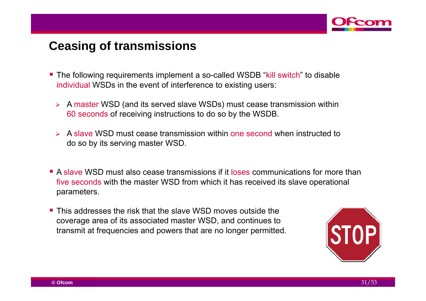

## **Ceasing of transmissions**

- The following requirements implement a so-called WSDB "kill switch" to disable individual WSDs in the event of interference to existing users:
	- $\triangleright$  A master WSD (and its served slave WSDs) must cease transmission within 60 seconds of receiving instructions to do so by the WSDB.
	- A slave WSD must cease transmission within one second when instructed to do so by its serving master WSD.
- A slave WSD must also cease transmissions if it loses communications for more than five seconds with the master WSD from which it has received its slave operational parameters.
- **This addresses the risk that the slave WSD moves outside the** coverage area of its associated master WSD, and continues to transmit at frequencies and powers that are no longer permitted.

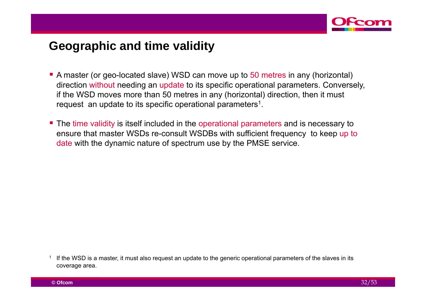

## **Geographic and time validity Geographic**

- A master (or geo-located slave) WSD can move up to 50 metres in any (horizontal) direction without needing an update to its specific operational parameters. Conversely, if the WSD moves more than 50 metres in any (horizontal) direction, then it must request an update to its specific operational parameters<sup>1</sup>.
- **The time validity is itself included in the operational parameters and is necessary to** ensure that master WSDs re-consult WSDBs with sufficient frequency to keep up to date with the dynamic nature of spectrum use by the PMSE service.

<sup>1</sup> If the WSD is a master, it must also request an update to the generic operational parameters of the slaves in its coverage area.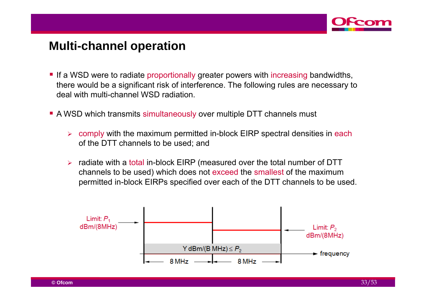

#### **Multi-channel operation channel**

- If a WSD were to radiate proportionally greater powers with increasing bandwidths, there would be a significant risk of interference. The following rules are necessary to deal with multi-channel WSD radiation.
- A WSD which transmits simultaneously over multiple DTT channels must
	- $\blacktriangleright$  comply with the maximum permitted in-block EIRP spectral densities in each of the DTT channels to be used; and
	- $\blacktriangleright$  radiate with a total in-block EIRP (measured over the total number of DTT channels to be used) which does not exceed the smallest of the maximum permitted in-block EIRPs specified over each of the DTT channels to be used.

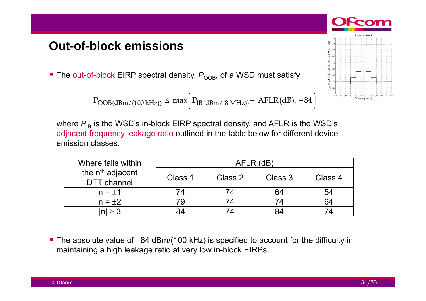## **Out-of-block emissions block**

The out-of-block EIRP spectral density,  $P_{\text{OOB}}$ , of a WSD must satisfy

$$
P_{OOB(dBm/(100\text{ kHz}))} \leq \max\biggl(P_{IB(dBm/(8\text{ MHz}))} - AFLR(dB), -84\biggr)
$$



where  $P_{\text{IB}}$  is the WSD's in-block EIRP spectral density, and AFLR is the WSD's adjacent frequency leakage ratio outlined in the table below for different device emission classes.

| Where falls within                                 | AFLR (dB) |         |         |         |
|----------------------------------------------------|-----------|---------|---------|---------|
| the n <sup>th</sup> adjacent<br><b>DTT</b> channel | Class 1   | Class 2 | Class 3 | Class 4 |
| $n = \pm 1$                                        |           |         |         | 54      |
| $n = \pm 2$                                        |           |         |         | 64      |
|                                                    |           |         |         | 74      |

The absolute value of  $-84$  dBm/(100 kHz) is specified to account for the difficulty in maintaining a high leakage ratio at very low in-block EIRPs.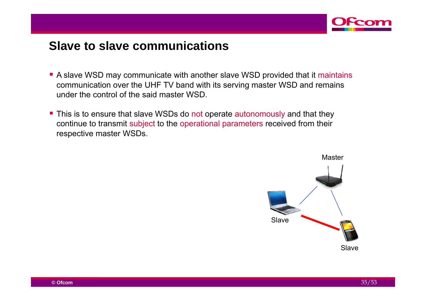

#### **Slave to slave communications**

- A slave WSD may communicate with another slave WSD provided that it maintains communication over the UHF TV band with its serving master WSD and remains under the control of the said master WSD.
- **This is to ensure that slave WSDs do not operate autonomously and that they** continue to transmit subject to the operational parameters received from their respective master WSDs.

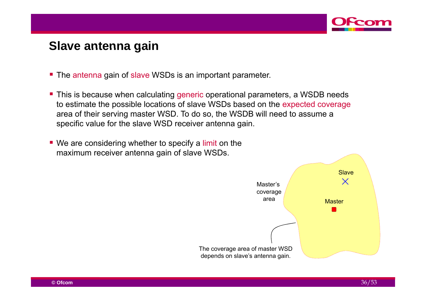

#### **Slave antenna gain**

- **The antenna gain of slave WSDs is an important parameter.**
- **This is because when calculating generic operational parameters, a WSDB needs** to estimate the possible locations of slave WSDs based on the expected coverage area of their serving master WSD. To do so, the WSDB will need to assume a specific value for the slave WSD receiver antenna gain.
- We are considering whether to specify a limit on the maximum receiver antenna gain of slave WSDs.

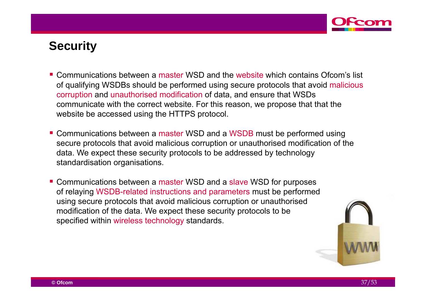

## **Security**

- Communications between a master WSD and the website which contains Ofcom's list of qualifying WSDBs should be performed using secure protocols that avoid malicious corruption and unauthorised modification of data, and ensure that WSDs communicate with the correct website. For this reason, we propose that that the website be accessed using the HTTPS protocol.
- Communications between a master WSD and a WSDB must be performed using secure protocols that avoid malicious corruption or unauthorised modification of the data. We expect these security protocols to be addressed by technology standardisation organisations.
- **Communications between a master WSD and a slave WSD for purposes** of relaying WSDB-related instructions and parameters must be performed using secure protocols that avoid malicious corruption or unauthorised modification of the data. We expect these security protocols to be specified within wireless technology standards.

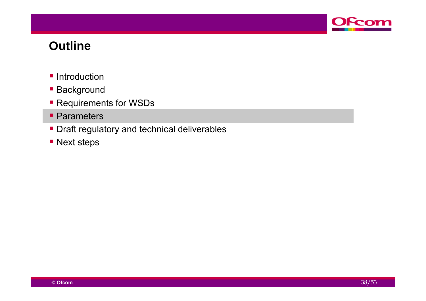

#### **Outline**

- **Introduction**
- **Background**
- **Requirements for WSDs**
- **Parameters**
- **Draft regulatory and technical deliverables**
- **Next steps**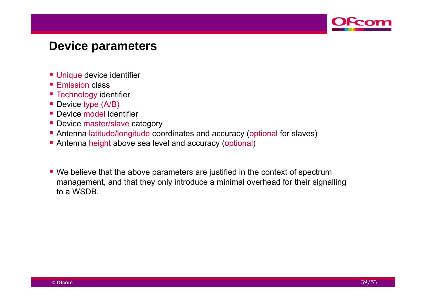

#### **Device parameters**

- **Unique device identifier**
- **Eimission class**
- **Technology identifier**
- Device type (A/B)
- **Device model identifier**
- **Device master/slave category**
- Antenna latitude/longitude coordinates and accuracy (optional for slaves)
- **Antenna height above sea level and accuracy (optional)**
- We believe that the above parameters are justified in the context of spectrum management, and that they only introduce a minimal overhead for their signalling to a WSDB.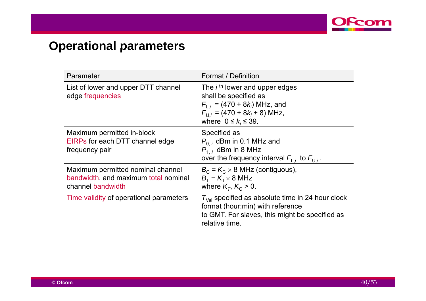

# **Operational parameters**

| Parameter                                                                                      | Format / Definition                                                                                                                                                      |
|------------------------------------------------------------------------------------------------|--------------------------------------------------------------------------------------------------------------------------------------------------------------------------|
| List of lower and upper DTT channel<br>edge frequencies                                        | The $ith$ lower and upper edges<br>shall be specified as<br>$F_{1i}$ = (470 + 8 $k_i$ ) MHz, and<br>$F_{U_i}$ = (470 + 8 $k_i$ + 8) MHz,<br>where $0 \leq k_i \leq 39$ . |
| Maximum permitted in-block<br>EIRPs for each DTT channel edge<br>frequency pair                | Specified as<br>$P_{0,i}$ dBm in 0.1 MHz and<br>$P_{1,1}$ dBm in 8 MHz<br>over the frequency interval $F_{1,i}$ to $F_{0,i}$ .                                           |
| Maximum permitted nominal channel<br>bandwidth, and maximum total nominal<br>channel bandwidth | $B_C = K_C \times 8$ MHz (contiguous),<br>$B_T = K_T \times 8 \text{ MHz}$<br>where $K_T$ , $K_C > 0$ .                                                                  |
| Time validity of operational parameters                                                        | $T_{\text{Val}}$ specified as absolute time in 24 hour clock<br>format (hour:min) with reference<br>to GMT. For slaves, this might be specified as<br>relative time.     |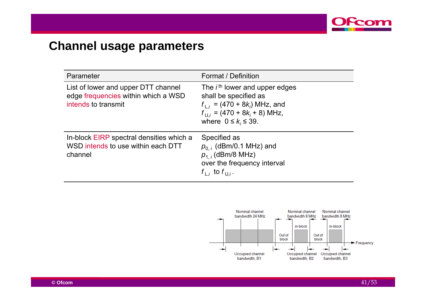

# **Channel usage parameters**

| Parameter                                                                                         | Format / Definition                                                                                                                                                       |
|---------------------------------------------------------------------------------------------------|---------------------------------------------------------------------------------------------------------------------------------------------------------------------------|
| List of lower and upper DTT channel<br>edge frequencies within which a WSD<br>intends to transmit | The $ith$ lower and upper edges<br>shall be specified as<br>$f_{1,i}$ = (470 + 8 $k_i$ ) MHz, and<br>$f_{U,i}$ = (470 + 8 $k_i$ + 8) MHz,<br>where $0 \leq k_i \leq 39$ . |
| In-block EIRP spectral densities which a<br>WSD intends to use within each DTT<br>channel         | Specified as<br>$p_{0,i}$ (dBm/0.1 MHz) and<br>$p_{1,i}$ (dBm/8 MHz)<br>over the frequency interval<br>$f_{\perp i}$ to $f_{\perp i}$ .                                   |

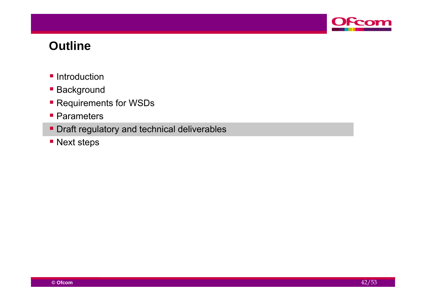

#### **Outline**

- **Introduction**
- **Background**
- **Requirements for WSDs**
- **Parameters**
- **Draft regulatory and technical deliverables**
- **Next steps**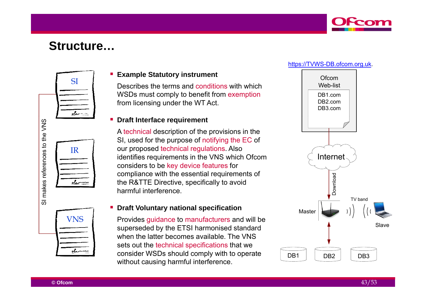

#### **Structure…**







#### П **Example Statutory instrument**

Describes the terms and conditions with which Net all Metallist WSDs must comply to benefit from exemption from licensing under the WT Act.

**Draft Interface requirement**<br>A technical description of the provisions in the<br>SI, used for the purpose of notifying the EC of<br>our proposed technical regulations. Also  $\begin{array}{c|c|c|c} \hline \mathbf{e} & \mathbf{f} & \mathbf{f} & \mathbf{f} \\ \hline \hline \mathbf{e} & \mathbf{e} & \mathbf{f} \\ \hline \mathbf{e} & \mathbf{f} & \mathbf{f} \\ \hline \mathbf{e} & \mathbf{f} & \mathbf{f} \\ \hline \mathbf{f} & \mathbf{f} & \mathbf{f} \\ \hline \mathbf{f} & \mathbf{f} & \mathbf{f} \\ \hline \mathbf{f} & \mathbf{f} & \mathbf{f} \\ \hline \mathbf{f} & \mathbf{f} & \mathbf{f} \\ \hline \math$ our proposed technical regulations. Also considers to be key device features for compliance with the essential requirements of the R&TTE Directive, specifically to avoid e harmful interference.

#### **- Draft Voluntary national specification**

 $S$  Provides guidance to manufacturers and will be superseded by the ETSI harmonised standard when the latter becomes available. The VNS sets out the technical specifications that we consider WSDs should comply with to operate operatewithout causing harmful interference.



#### **© Ofcom**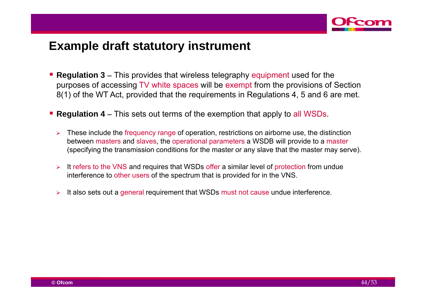

#### **Example draft statutory instrument**

- **Regulation 3** This provides that wireless telegraphy equipment used for the purposes of accessing TV white spaces will be exempt from the provisions of Section 8(1) of the WT Act, provided that the requirements in Regulations 4, 5 and 6 are met.
- **Regulation 4** This sets out terms of the exemption that apply to all WSDs.
	- $\blacktriangleright$  These include the frequency range of operation, restrictions on airborne use, the distinction between masters and slaves, the operational parameters a WSDB will provide to a master (specifying the transmission conditions for the master or any slave that the master may serve).
	- $\blacktriangleright$ It refers to the VNS and requires that WSDs offer a similar level of protection from undue interference to other users of the spectrum that is provided for in the VNS.
	- $\blacktriangleright$ It also sets out a general requirement that WSDs must not cause undue interference.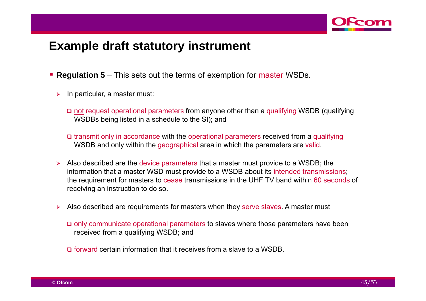

#### **Example draft statutory instrument**

- **Regulation 5** This sets out the terms of exemption for master WSDs.
	- ⋗ In particular, a master must:
		- **□** not request operational parameters from anyone other than a qualifying WSDB (qualifying WSDBs being listed in a schedule to the SI); and
		- **□** transmit only in accordance with the operational parameters received from a qualifying WSDB and only within the geographical area in which the parameters are valid.
	- $\triangleright$  Also described are the device parameters that a master must provide to a WSDB; the information that a master WSD must provide to a WSDB about its intended transmissions; the requirement for masters to cease transmissions in the UHF TV band within 60 seconds of receiving an instruction to do so.
	- $\blacktriangleright$  Also described are requirements for masters when they serve slaves. A master must
		- **□** only communicate operational parameters to slaves where those parameters have been received from a qualifying WSDB; and
		- **□** forward certain information that it receives from a slave to a WSDB.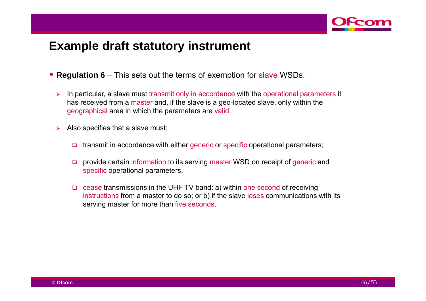

#### **Example draft statutory instrument**

- **Regulation 6** This sets out the terms of exemption for slave WSDs.
	- $\blacktriangleright$  In particular, a slave must transmit only in accordance with the operational parameters it has received from a master and, if the slave is a geo-located slave, only within the geographical area in which the parameters are valid.
	- ⋗ Also specifies that a slave must:
		- $\Box$ transmit in accordance with either generic or specific operational parameters;
		- $\Box$  provide certain information to its serving master WSD on receipt of generic and specific operational parameters,
		- **□** cease transmissions in the UHF TV band: a) within one second of receiving instructions from a master to do so; or b) if the slave loses communications with its serving master for more than five seconds.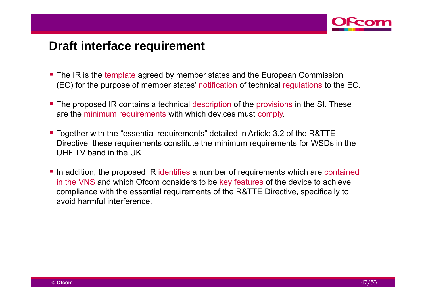

## **Draft interface requirement**

- **The IR is the template agreed by member states and the European Commission** (EC) for the purpose of member states' notification of technical regulations to the EC.
- **The proposed IR contains a technical description of the provisions in the SI. These** are the minimum requirements with which devices must comply.
- Together with the "essential requirements" detailed in Article 3.2 of the R&TTE Directive, these requirements constitute the minimum requirements for WSDs in the UHF TV band in the UK. . . . . . . . . .
- In addition, the proposed IR identifies a number of requirements which are contained in the VNS and which Ofcom considers to be key features of the device to achieve compliance with the essential requirements of the R&TTE Directive, specifically to avoid harmful interference.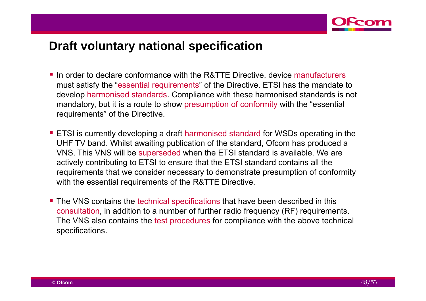

## **Draft voluntary national specification national**

- In order to declare conformance with the R&TTE Directive, device manufacturers must satisfy the "essential requirements" of the Directive. ETSI has the mandate to develop harmonised standards. Compliance with these harmonised standards is not mandatory, but it is a route to show presumption of conformity with the "essential requirements" of the Directive.
- **ETSI** is currently developing a draft harmonised standard for WSDs operating in the UHF TV band. Whilst awaiting publication of the standard, Ofcom has produced a VNS. This VNS will be superseded when the ETSI standard is available. We are actively contributing to ETSI to ensure that the ETSI standard contains all the requirements that we consider necessary to demonstrate presumption of conformity with the essential requirements of the R&TTE Directive.
- **The VNS contains the technical specifications that have been described in this** consultation, in addition to a number of further radio frequency (RF) requirements. The VNS also contains the test procedures for compliance with the above technical specifications.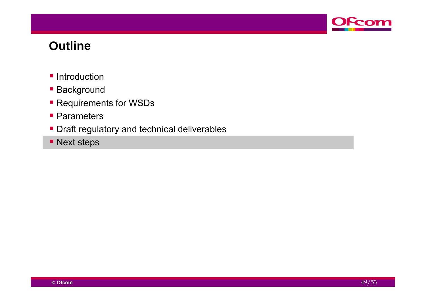

#### **Outline**

- **Introduction**
- **Background**
- **Requirements for WSDs**
- **Parameters**
- **Draft regulatory and technical deliverables**
- **Next steps**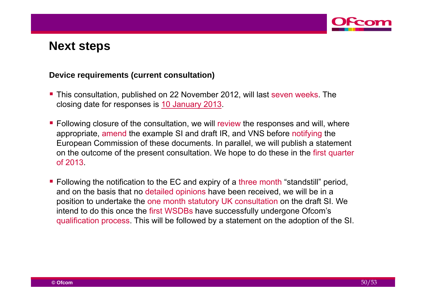

#### **Device requirements (current consultation)**

- **This consultation, published on 22 November 2012, will last seven weeks. The** closing date for responses is 10 January 2013.
- **Following closure of the consultation, we will review the responses and will, where** appropriate, amend the example SI and draft IR, and VNS before notifying the European Commission of these documents. In parallel, we will publish a statement on the outcome of the present consultation. We hope to do these in the first quarter of 2013.
- Following the notification to the EC and expiry of a three month "standstill" period, and on the basis that no detailed opinions have been received, we will be in a position to undertake the one month statutory UK consultation on the draft SI. We intend to do this once the first WSDBs have successfully undergone Ofcom's qualification process. This will be followed by a statement on the adoption of the SI.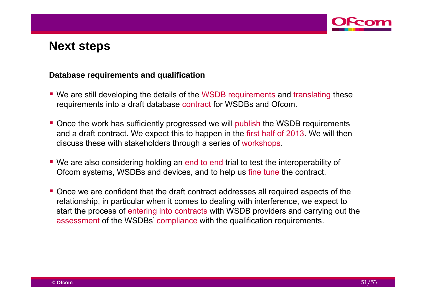

#### **Database requirements and qualification**

- We are still developing the details of the WSDB requirements and translating these requirements into a draft database contract for WSDBs and Ofcom.
- **Once the work has sufficiently progressed we will publish the WSDB requirements** and a draft contract. We expect this to happen in the first half of 2013. We will then discuss these with stakeholders through a series of workshops.
- We are also considering holding an end to end trial to test the interoperability of Ofcom systems, WSDBs and devices, and to help us fine tune the contract.
- **Once we are confident that the draft contract addresses all required aspects of the** relationship, in particular when it comes to dealing with interference, we expect to start the process of entering into contracts with WSDB providers and carrying out the assessment of the WSDBs' compliance with the qualification requirements.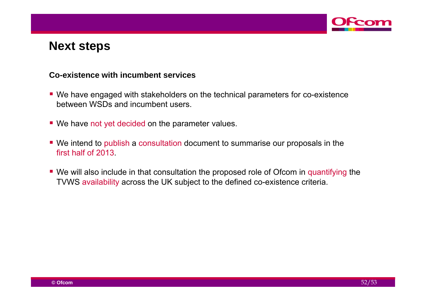

#### **Co-existence with incumbent services**

- We have engaged with stakeholders on the technical parameters for co-existence between WSDs and incumbent users.
- We have not yet decided on the parameter values.
- We intend to publish a consultation document to summarise our proposals in the first half of 2013.
- We will also include in that consultation the proposed role of Ofcom in quantifying the TVWS availability across the UK subject to the defined co-existence criteria.